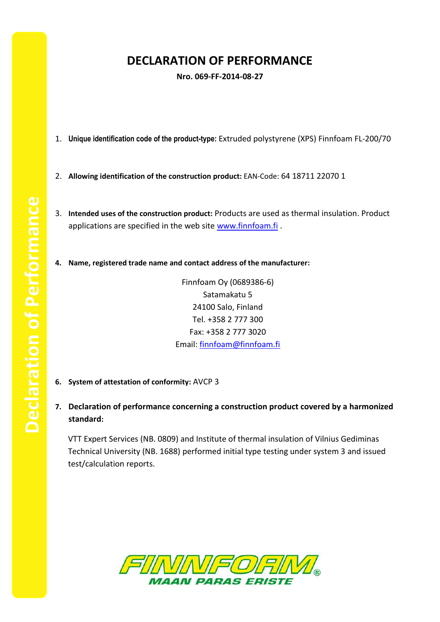## **DECLARATION OF PERFORMANCE**

**Nro. 069-FF-2014-08-27**

- 1. **Unique identification code of the product-type:** Extruded polystyrene (XPS) Finnfoam FL-200/70
- 2. **Allowing identification of the construction product:** EAN-Code: 64 18711 22070 1
- 3. **Intended uses of the construction product:** Products are used as thermal insulation. Product applications are specified in the web site [www.finnfoam.fi](http://www.finnfoam.fi/).
- **4. Name, registered trade name and contact address of the manufacturer:**

Finnfoam Oy (0689386-6) Satamakatu 5 24100 Salo, Finland Tel. +358 2 777 300 Fax: +358 2 777 3020 Email: [finnfoam@finnfoam.fi](mailto:finnfoam@finnfoam.fi)

- **6. System of attestation of conformity:** AVCP 3
- **7. Declaration of performance concerning a construction product covered by a harmonized standard:**

VTT Expert Services (NB. 0809) and Institute of thermal insulation of Vilnius Gediminas Technical University (NB. 1688) performed initial type testing under system 3 and issued test/calculation reports.